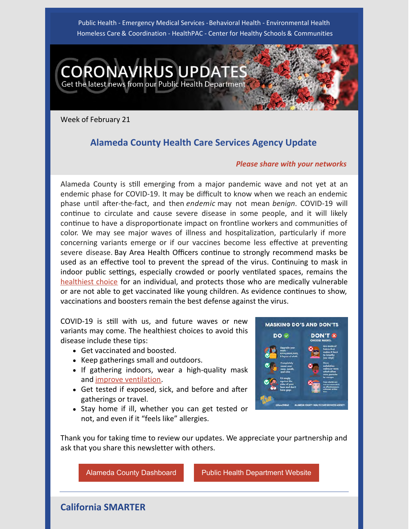Public Health - Emergency Medical Services - Behavioral Health - Environmental Health Homeless Care & Coordination - HealthPAC - Center for Healthy Schools & Communities



Week of February 21

# **Alameda County Health Care Services Agency Update**

#### *Please share with your networks*

Alameda County is still emerging from a major pandemic wave and not yet at an endemic phase for COVID-19. It may be difficult to know when we reach an endemic phase until after-the-fact, and then *endemic* may not mean *benign*. COVID-19 will continue to circulate and cause severe disease in some people, and it will likely continue to have a disproportionate impact on frontline workers and communities of color. We may see major waves of illness and hospitalization, particularly if more concerning variants emerge or if our vaccines become less effective at preventing severe disease. Bay Area Health Officers continue to strongly recommend masks be used as an effective tool to prevent the spread of the virus. Continuing to mask in indoor public settings, especially crowded or poorly ventilated spaces, remains the [healthiest choice](https://www.cdc.gov/mmwr/volumes/71/wr/mm7106e1.htm) for an individual, and protects those who are medically vulnerable or are not able to get vaccinated like young children. As evidence continues to show, vaccinations and boosters remain the best defense against the virus.

COVID-19 is still with us, and future waves or new variants may come. The healthiest choices to avoid this disease include these tips:

- Get vaccinated and boosted.
- Keep gatherings small and outdoors.
- If gathering indoors, wear a high-quality mask and [improve ventilation](https://www.cdc.gov/coronavirus/2019-ncov/prevent-getting-sick/improving-ventilation-home.html).
- $\bullet$  Get tested if exposed, sick, and before and after gatherings or travel.
- Stay home if ill, whether you can get tested or not, and even if it "feels like" allergies.



Thank you for taking time to review our updates. We appreciate your partnership and ask that you share this newsletter with others.

[Alameda County Dashboard](https://covid-19.acgov.org/data) **[Public Health Department Website](http://www.acphd.org/)** 

**California SMARTER**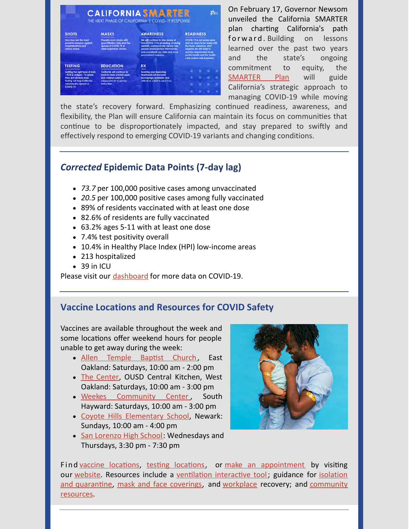

On February 17, Governor Newsom unveiled the California SMARTER plan charting California's path forward. Building on lessons learned over the past two years and the state's ongoing commitment to equity, the [SMARTER Plan](https://files.covid19.ca.gov/pdf/smarterplan.pdf) will guide California's strategic approach to managing COVID-19 while moving

the state's recovery forward. Emphasizing continued readiness, awareness, and flexibility, the Plan will ensure California can maintain its focus on communities that continue to be disproportionately impacted, and stay prepared to swiftly and effectively respond to emerging COVID-19 variants and changing conditions.

# *Corrected* **Epidemic Data Points (7-day lag)**

- *73.7* per 100,000 positive cases among unvaccinated
- *20.5* per 100,000 positive cases among fully vaccinated
- 89% of residents vaccinated with at least one dose
- 82.6% of residents are fully vaccinated
- 63.2% ages 5-11 with at least one dose
- 7.4% test positivity overall
- 10.4% in Healthy Place Index (HPI) low-income areas
- 213 hospitalized
- $\bullet$  39 in ICU

Please visit our [dashboard](https://covid-19.acgov.org/data) for more data on COVID-19.

## **Vaccine Locations and Resources for COVID Safety**

Vaccines are available throughout the week and some locations offer weekend hours for people unable to get away during the week:

- Allen Temple Baptist Church, East Oakland: Saturdays, 10:00 am - 2:00 pm
- [The Center,](https://files.constantcontact.com/dbe334f7701/9e5745fe-8da0-4329-b869-04b2d43f039a.pdf) OUSD Central Kitchen, West Oakland: Saturdays, 10:00 am - 3:00 pm
- · [Weekes Community Center](https://files.constantcontact.com/dbe334f7701/107f17da-8ea7-4cac-a4c2-543fdbe2b23e.pdf), South Hayward: Saturdays, 10:00 am - 3:00 pm
- [Coyote Hills Elementary School](https://files.constantcontact.com/dbe334f7701/9ae9c2c9-aaa4-478a-b8f6-1767ae17e59c.pdf), Newark: Sundays, 10:00 am - 4:00 pm
- [San Lorenzo High School](https://files.constantcontact.com/dbe334f7701/4d2caced-7723-40e9-b2f2-25468ef54fc6.pdf): Wednesdays and Thursdays, 3:30 pm - 7:30 pm



Findvaccine locations, testing locations, or [make an appointment](https://my.primary.health/l/alco-vax-signup) by visiting our website. Resources include a ventilation interactive tool; guidance for isolation and quarantine, mask and face coverings, and workplace recovery; and community resources.